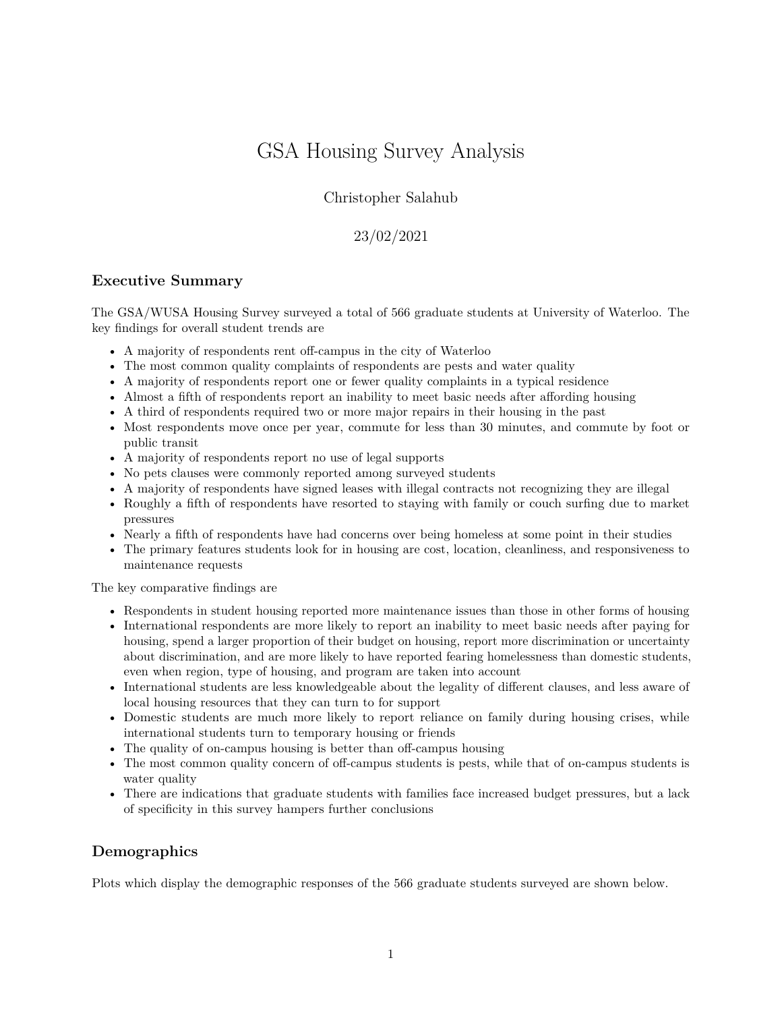# GSA Housing Survey Analysis

Christopher Salahub

23/02/2021

# **Executive Summary**

The GSA/WUSA Housing Survey surveyed a total of 566 graduate students at University of Waterloo. The key findings for overall student trends are

- A majority of respondents rent off-campus in the city of Waterloo
- The most common quality complaints of respondents are pests and water quality
- A majority of respondents report one or fewer quality complaints in a typical residence
- Almost a fifth of respondents report an inability to meet basic needs after affording housing
- A third of respondents required two or more major repairs in their housing in the past
- Most respondents move once per year, commute for less than 30 minutes, and commute by foot or public transit
- A majority of respondents report no use of legal supports
- No pets clauses were commonly reported among surveyed students
- A majority of respondents have signed leases with illegal contracts not recognizing they are illegal
- Roughly a fifth of respondents have resorted to staying with family or couch surfing due to market pressures
- Nearly a fifth of respondents have had concerns over being homeless at some point in their studies
- The primary features students look for in housing are cost, location, cleanliness, and responsiveness to maintenance requests

The key comparative findings are

- Respondents in student housing reported more maintenance issues than those in other forms of housing
- International respondents are more likely to report an inability to meet basic needs after paying for housing, spend a larger proportion of their budget on housing, report more discrimination or uncertainty about discrimination, and are more likely to have reported fearing homelessness than domestic students, even when region, type of housing, and program are taken into account
- International students are less knowledgeable about the legality of different clauses, and less aware of local housing resources that they can turn to for support
- Domestic students are much more likely to report reliance on family during housing crises, while international students turn to temporary housing or friends
- The quality of on-campus housing is better than off-campus housing
- The most common quality concern of off-campus students is pests, while that of on-campus students is water quality
- There are indications that graduate students with families face increased budget pressures, but a lack of specificity in this survey hampers further conclusions

# **Demographics**

Plots which display the demographic responses of the 566 graduate students surveyed are shown below.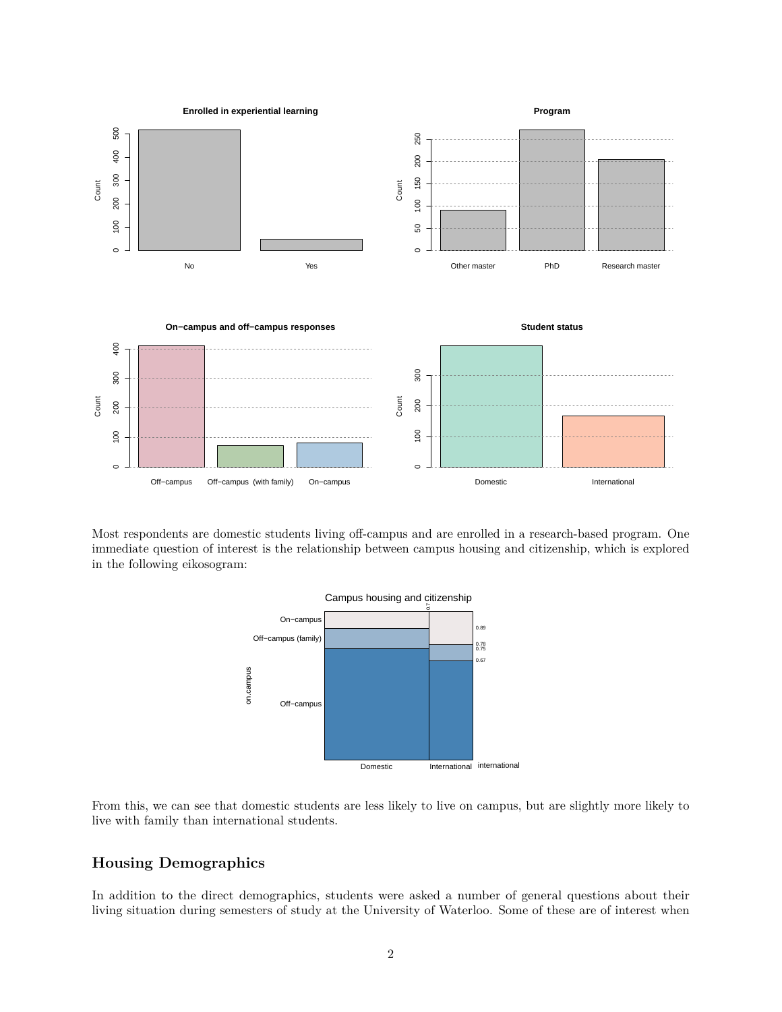

Most respondents are domestic students living off-campus and are enrolled in a research-based program. One immediate question of interest is the relationship between campus housing and citizenship, which is explored in the following [eikosogram:](https://cran.r-project.org/web/packages/eikosograms/vignettes/Introduction.html)



From this, we can see that domestic students are less likely to live on campus, but are slightly more likely to live with family than international students.

# **Housing Demographics**

In addition to the direct demographics, students were asked a number of general questions about their living situation during semesters of study at the University of Waterloo. Some of these are of interest when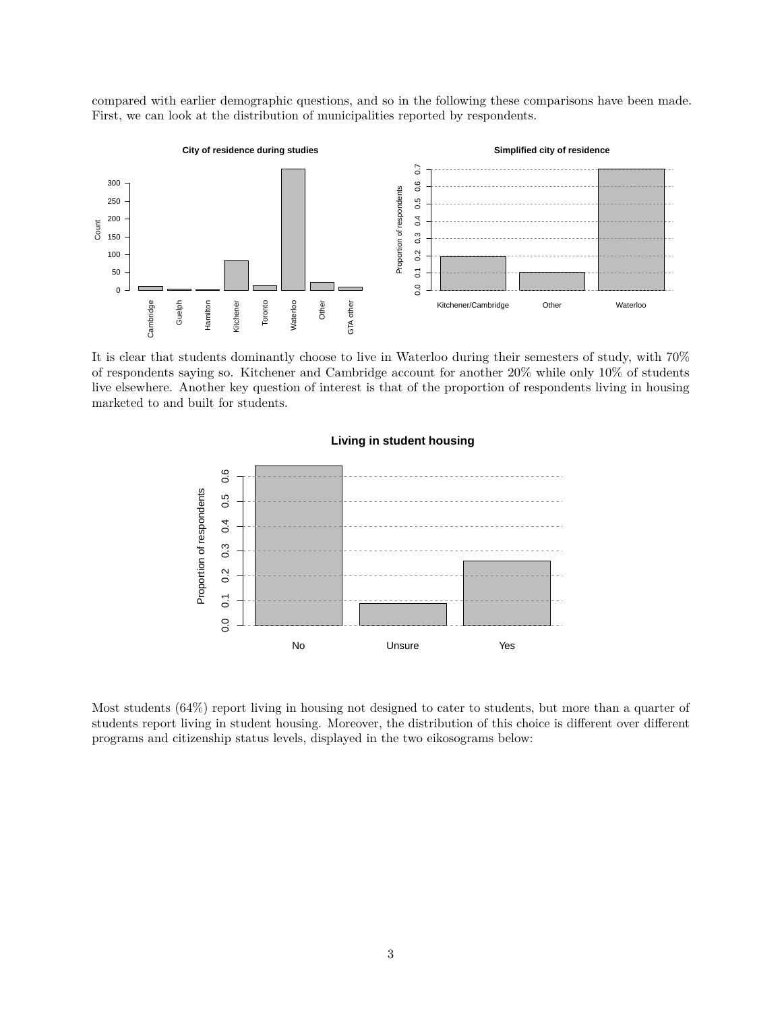compared with earlier demographic questions, and so in the following these comparisons have been made. First, we can look at the distribution of municipalities reported by respondents.



It is clear that students dominantly choose to live in Waterloo during their semesters of study, with 70% of respondents saying so. Kitchener and Cambridge account for another 20% while only 10% of students live elsewhere. Another key question of interest is that of the proportion of respondents living in housing marketed to and built for students.



# Most students (64%) report living in housing not designed to cater to students, but more than a quarter of

students report living in student housing. Moreover, the distribution of this choice is different over different programs and citizenship status levels, displayed in the two [eikosograms](https://cran.r-project.org/web/packages/eikosograms/vignettes/Introduction.html) below: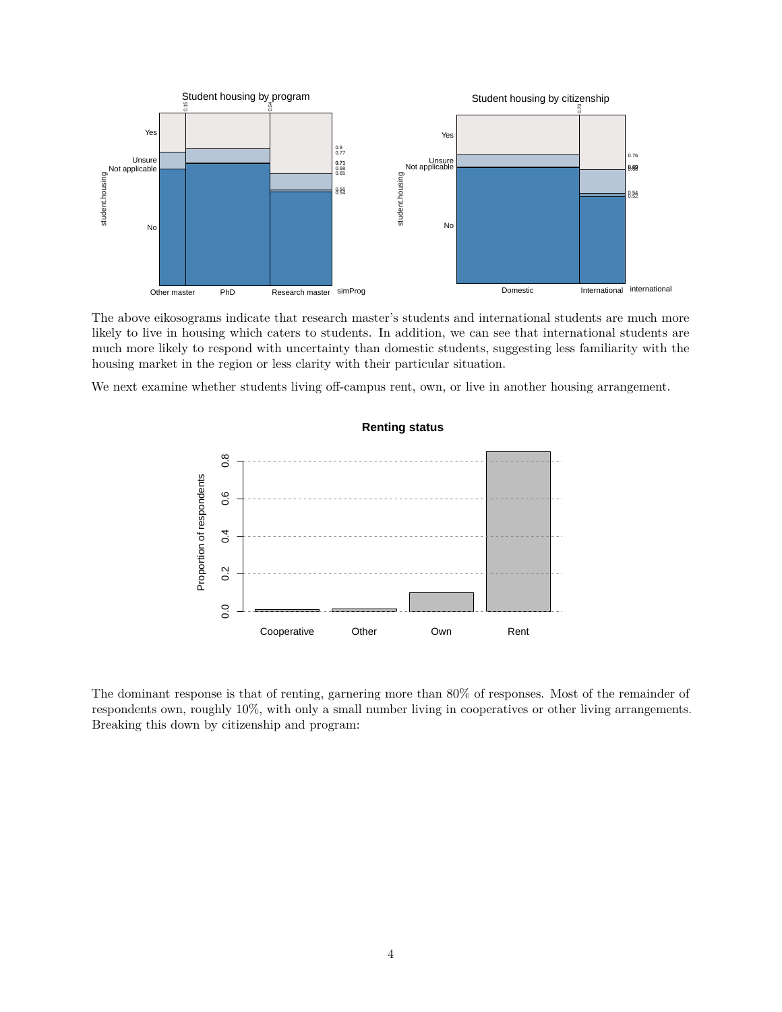

The above eikosograms indicate that research master's students and international students are much more likely to live in housing which caters to students. In addition, we can see that international students are much more likely to respond with uncertainty than domestic students, suggesting less familiarity with the housing market in the region or less clarity with their particular situation.

We next examine whether students living off-campus rent, own, or live in another housing arrangement.



The dominant response is that of renting, garnering more than 80% of responses. Most of the remainder of respondents own, roughly 10%, with only a small number living in cooperatives or other living arrangements. Breaking this down by citizenship and program:

#### **Renting status**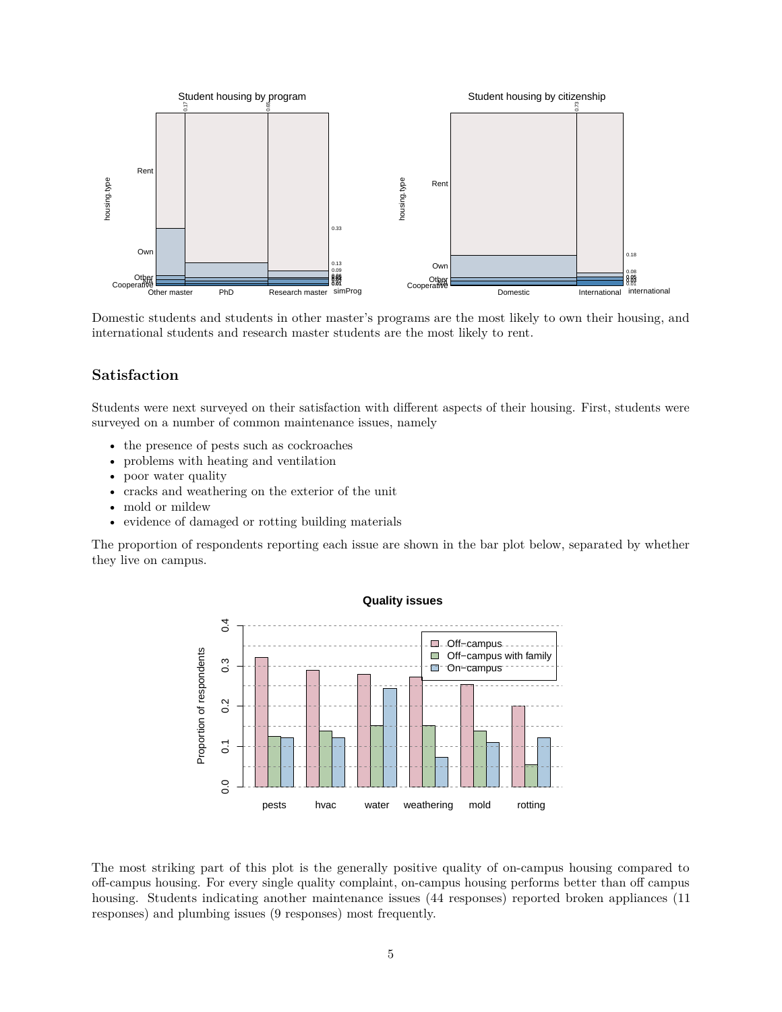

Domestic students and students in other master's programs are the most likely to own their housing, and international students and research master students are the most likely to rent.

# **Satisfaction**

Students were next surveyed on their satisfaction with different aspects of their housing. First, students were surveyed on a number of common maintenance issues, namely

- the presence of pests such as cockroaches
- problems with heating and ventilation
- poor water quality
- cracks and weathering on the exterior of the unit
- mold or mildew
- evidence of damaged or rotting building materials

The proportion of respondents reporting each issue are shown in the bar plot below, separated by whether they live on campus.



The most striking part of this plot is the generally positive quality of on-campus housing compared to off-campus housing. For every single quality complaint, on-campus housing performs better than off campus housing. Students indicating another maintenance issues (44 responses) reported broken appliances (11 responses) and plumbing issues (9 responses) most frequently.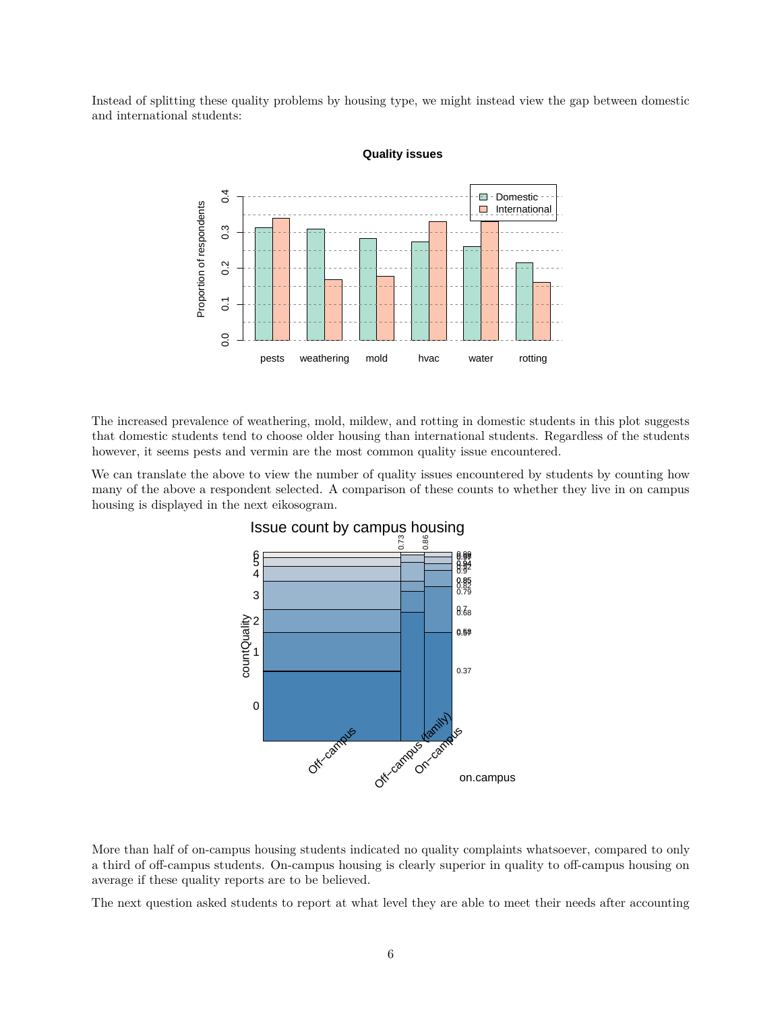Instead of splitting these quality problems by housing type, we might instead view the gap between domestic and international students:



#### **Quality issues**

The increased prevalence of weathering, mold, mildew, and rotting in domestic students in this plot suggests that domestic students tend to choose older housing than international students. Regardless of the students however, it seems pests and vermin are the most common quality issue encountered.

We can translate the above to view the number of quality issues encountered by students by counting how many of the above a respondent selected. A comparison of these counts to whether they live in on campus housing is displayed in the next eikosogram.



More than half of on-campus housing students indicated no quality complaints whatsoever, compared to only a third of off-campus students. On-campus housing is clearly superior in quality to off-campus housing on average if these quality reports are to be believed.

The next question asked students to report at what level they are able to meet their needs after accounting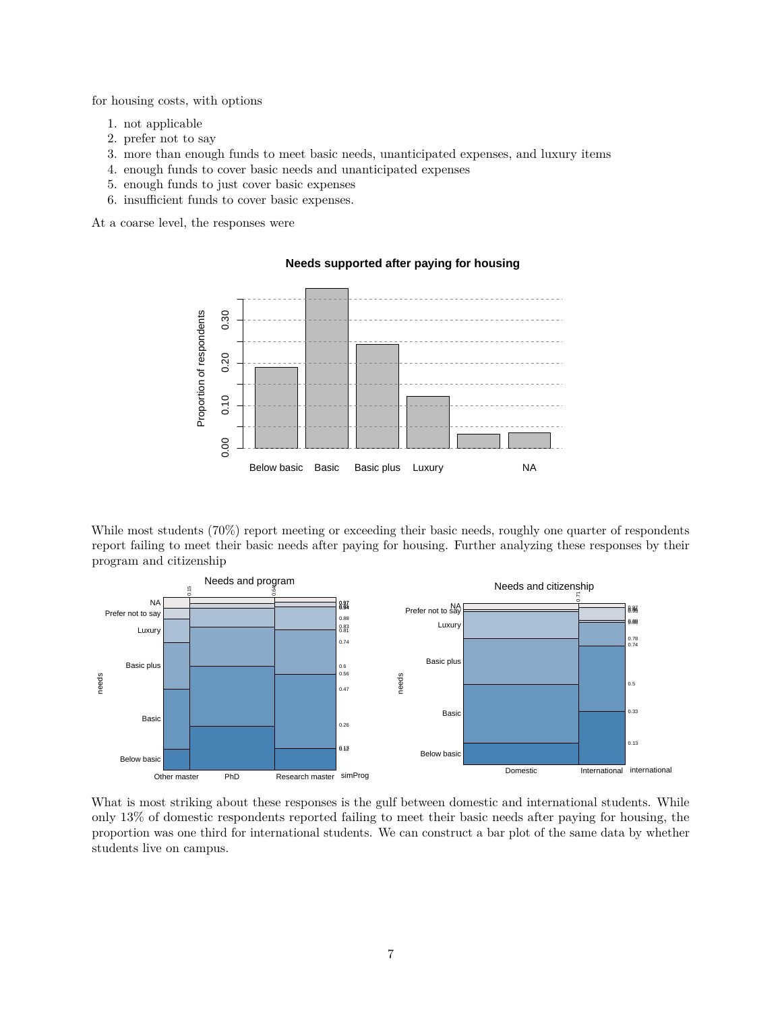for housing costs, with options

- 1. not applicable
- 2. prefer not to say
- 3. more than enough funds to meet basic needs, unanticipated expenses, and luxury items
- 4. enough funds to cover basic needs and unanticipated expenses
- 5. enough funds to just cover basic expenses
- 6. insufficient funds to cover basic expenses.

At a coarse level, the responses were

#### **Needs supported after paying for housing**



While most students (70%) report meeting or exceeding their basic needs, roughly one quarter of respondents report failing to meet their basic needs after paying for housing. Further analyzing these responses by their program and citizenship



What is most striking about these responses is the gulf between domestic and international students. While only 13% of domestic respondents reported failing to meet their basic needs after paying for housing, the proportion was one third for international students. We can construct a bar plot of the same data by whether students live on campus.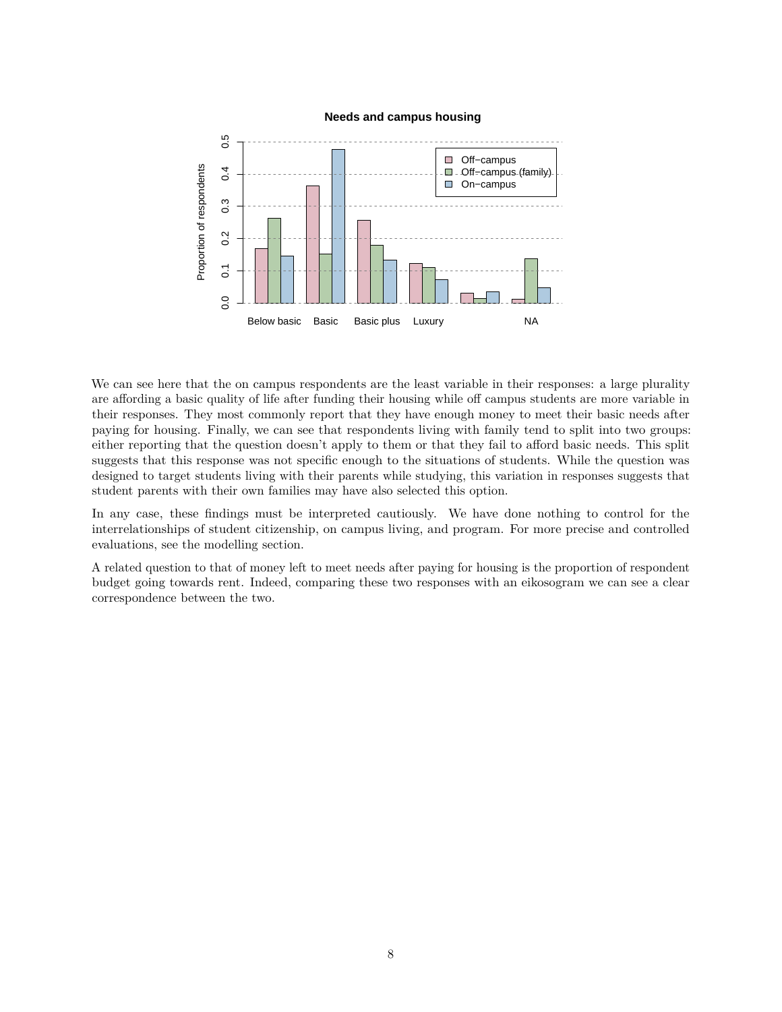

#### **Needs and campus housing**

We can see here that the on campus respondents are the least variable in their responses: a large plurality are affording a basic quality of life after funding their housing while off campus students are more variable in their responses. They most commonly report that they have enough money to meet their basic needs after paying for housing. Finally, we can see that respondents living with family tend to split into two groups: either reporting that the question doesn't apply to them or that they fail to afford basic needs. This split suggests that this response was not specific enough to the situations of students. While the question was designed to target students living with their parents while studying, this variation in responses suggests that student parents with their own families may have also selected this option.

In any case, these findings must be interpreted cautiously. We have done nothing to control for the interrelationships of student citizenship, on campus living, and program. For more precise and controlled evaluations, see the modelling section.

A related question to that of money left to meet needs after paying for housing is the proportion of respondent budget going towards rent. Indeed, comparing these two responses with an eikosogram we can see a clear correspondence between the two.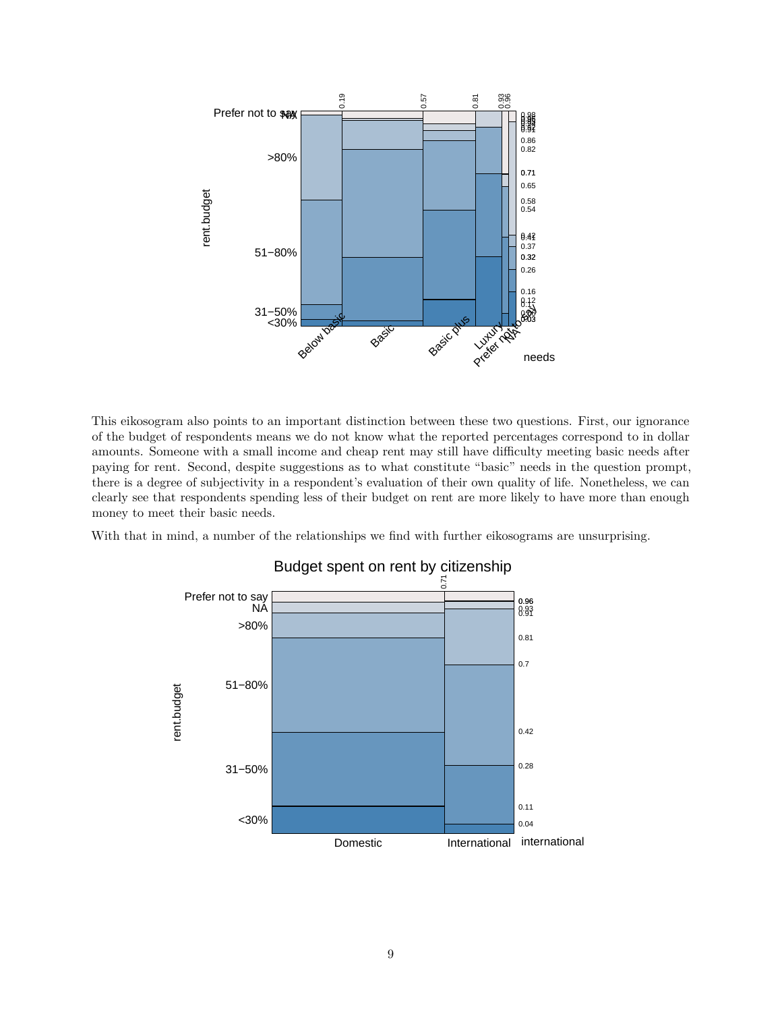

This eikosogram also points to an important distinction between these two questions. First, our ignorance of the budget of respondents means we do not know what the reported percentages correspond to in dollar amounts. Someone with a small income and cheap rent may still have difficulty meeting basic needs after paying for rent. Second, despite suggestions as to what constitute "basic" needs in the question prompt, there is a degree of subjectivity in a respondent's evaluation of their own quality of life. Nonetheless, we can clearly see that respondents spending less of their budget on rent are more likely to have more than enough money to meet their basic needs.

With that in mind, a number of the relationships we find with further eikosograms are unsurprising.



# Budget spent on rent by citizenship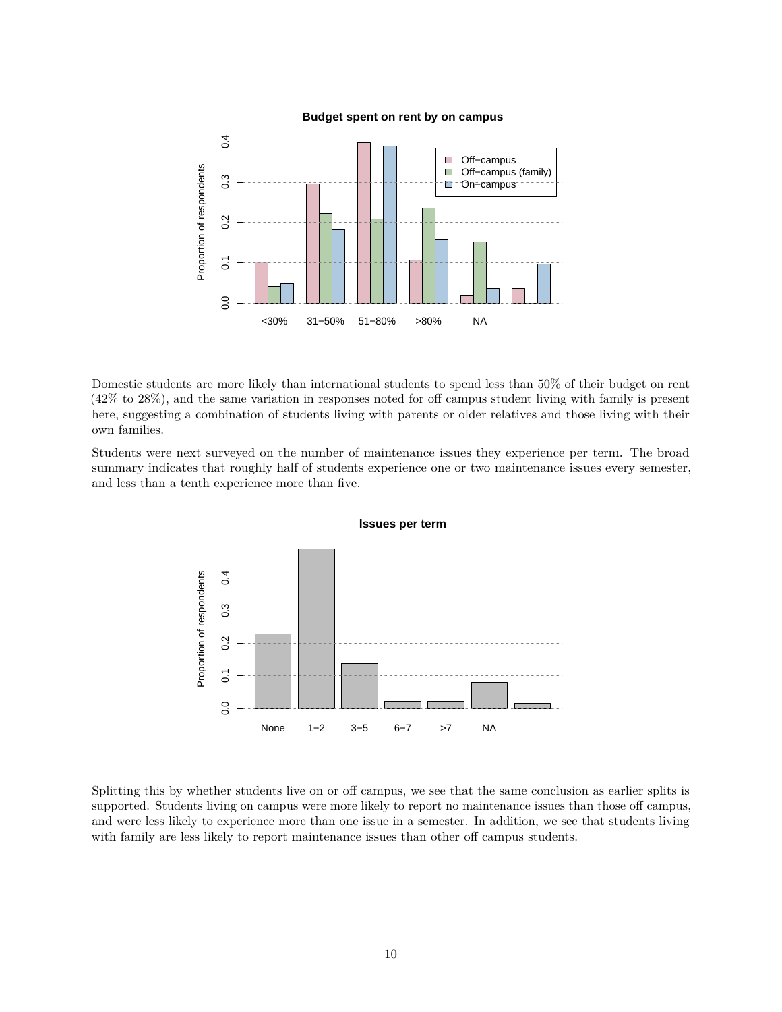



Domestic students are more likely than international students to spend less than 50% of their budget on rent (42% to 28%), and the same variation in responses noted for off campus student living with family is present here, suggesting a combination of students living with parents or older relatives and those living with their own families.

Students were next surveyed on the number of maintenance issues they experience per term. The broad summary indicates that roughly half of students experience one or two maintenance issues every semester, and less than a tenth experience more than five.



Splitting this by whether students live on or off campus, we see that the same conclusion as earlier splits is supported. Students living on campus were more likely to report no maintenance issues than those off campus, and were less likely to experience more than one issue in a semester. In addition, we see that students living with family are less likely to report maintenance issues than other off campus students.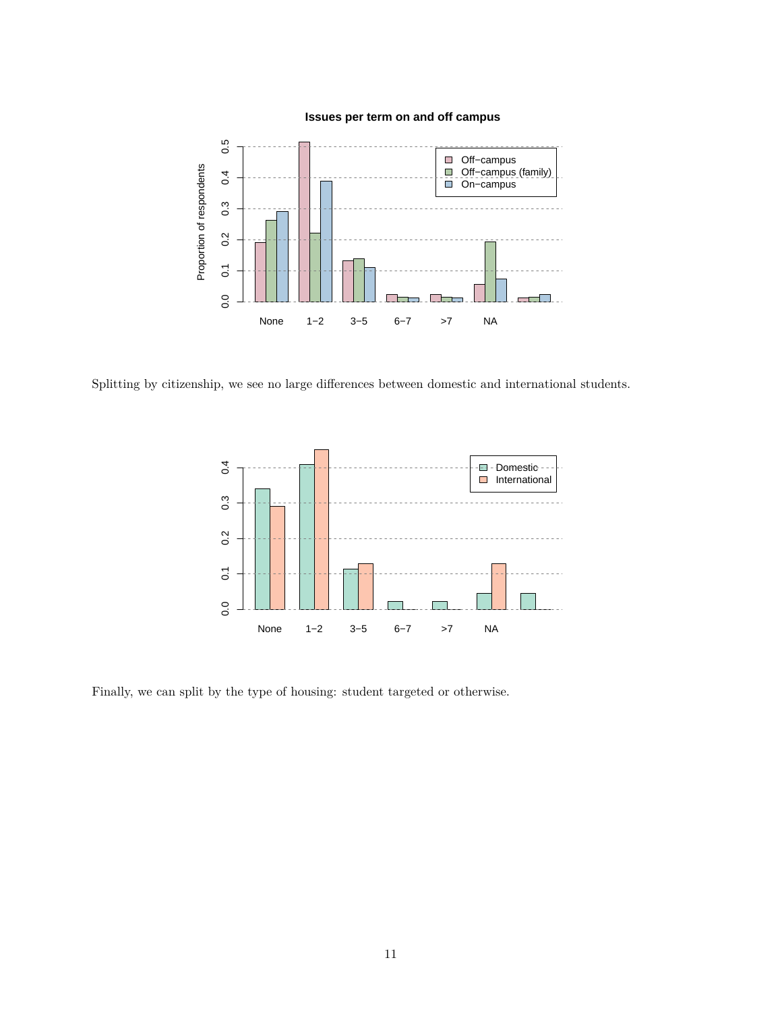# **Issues per term on and off campus**



Splitting by citizenship, we see no large differences between domestic and international students.



Finally, we can split by the type of housing: student targeted or otherwise.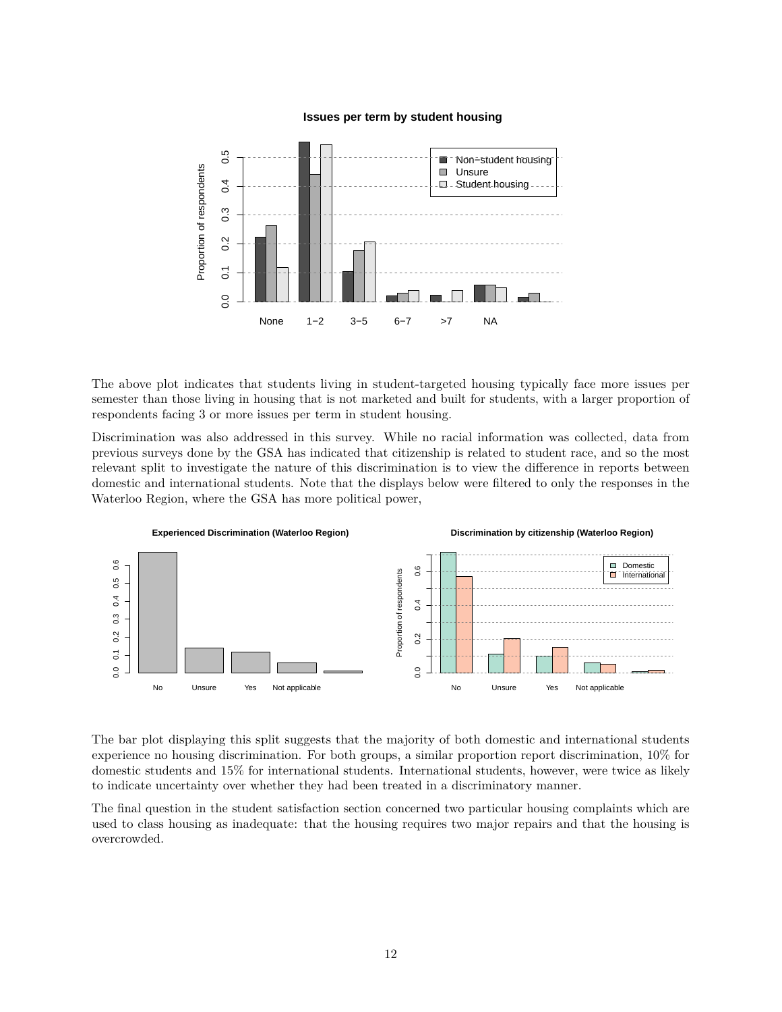#### **Issues per term by student housing**



The above plot indicates that students living in student-targeted housing typically face more issues per semester than those living in housing that is not marketed and built for students, with a larger proportion of respondents facing 3 or more issues per term in student housing.

Discrimination was also addressed in this survey. While no racial information was collected, data from previous surveys done by the GSA has indicated that citizenship is related to student race, and so the most relevant split to investigate the nature of this discrimination is to view the difference in reports between domestic and international students. Note that the displays below were filtered to only the responses in the Waterloo Region, where the GSA has more political power,



The bar plot displaying this split suggests that the majority of both domestic and international students experience no housing discrimination. For both groups, a similar proportion report discrimination, 10% for domestic students and 15% for international students. International students, however, were twice as likely to indicate uncertainty over whether they had been treated in a discriminatory manner.

The final question in the student satisfaction section concerned two particular housing complaints which are used to class housing as inadequate: that the housing requires two major repairs and that the housing is overcrowded.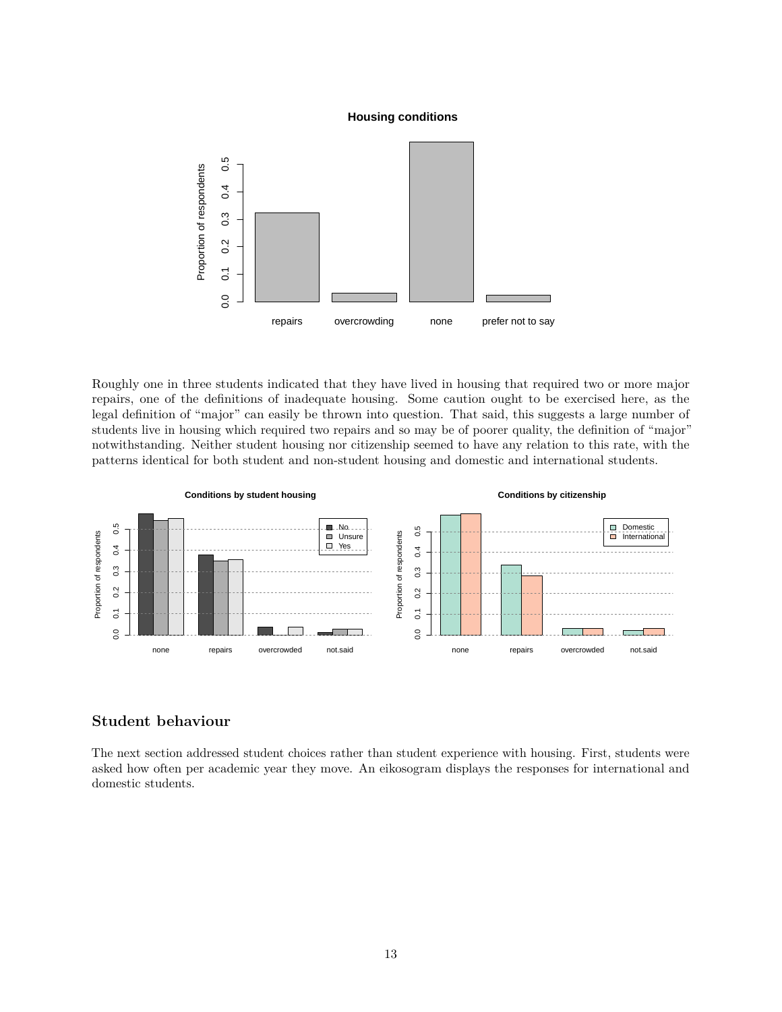#### **Housing conditions**



Roughly one in three students indicated that they have lived in housing that required two or more major repairs, one of the definitions of inadequate housing. Some caution ought to be exercised here, as the legal definition of "major" can easily be thrown into question. That said, this suggests a large number of students live in housing which required two repairs and so may be of poorer quality, the definition of "major" notwithstanding. Neither student housing nor citizenship seemed to have any relation to this rate, with the patterns identical for both student and non-student housing and domestic and international students.



# **Student behaviour**

The next section addressed student choices rather than student experience with housing. First, students were asked how often per academic year they move. An eikosogram displays the responses for international and domestic students.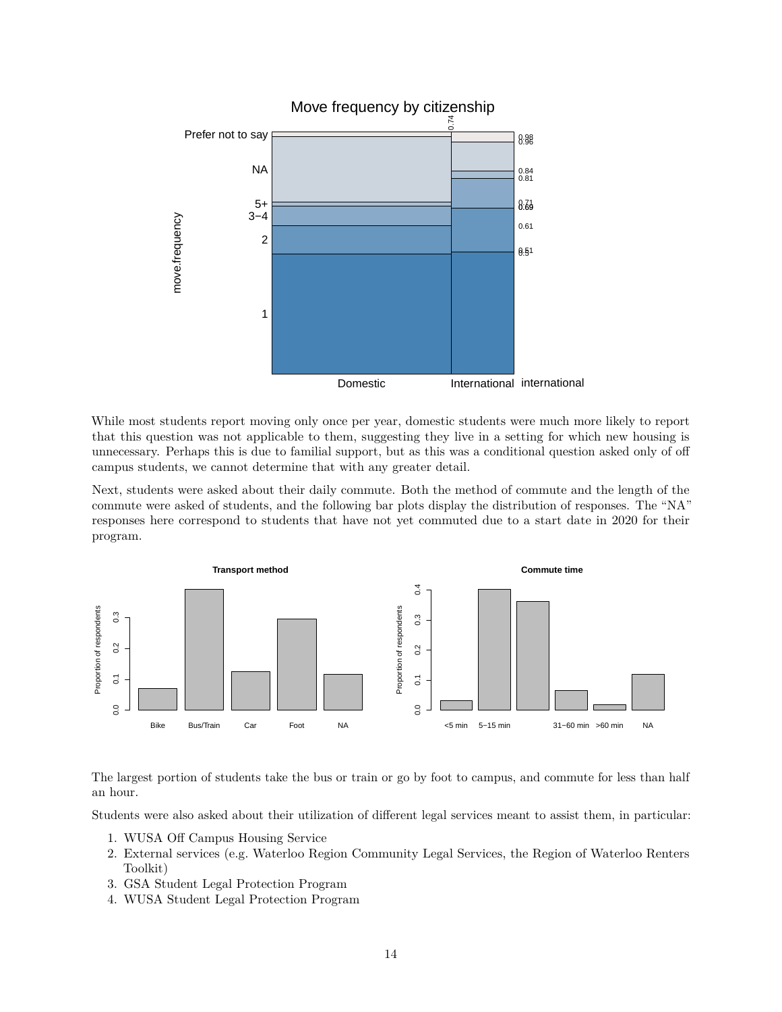

While most students report moving only once per year, domestic students were much more likely to report that this question was not applicable to them, suggesting they live in a setting for which new housing is unnecessary. Perhaps this is due to familial support, but as this was a conditional question asked only of off campus students, we cannot determine that with any greater detail.

Next, students were asked about their daily commute. Both the method of commute and the length of the commute were asked of students, and the following bar plots display the distribution of responses. The "NA" responses here correspond to students that have not yet commuted due to a start date in 2020 for their program.



The largest portion of students take the bus or train or go by foot to campus, and commute for less than half an hour.

Students were also asked about their utilization of different legal services meant to assist them, in particular:

- 1. WUSA Off Campus Housing Service
- 2. External services (e.g. Waterloo Region Community Legal Services, the Region of Waterloo Renters Toolkit)
- 3. GSA Student Legal Protection Program
- 4. WUSA Student Legal Protection Program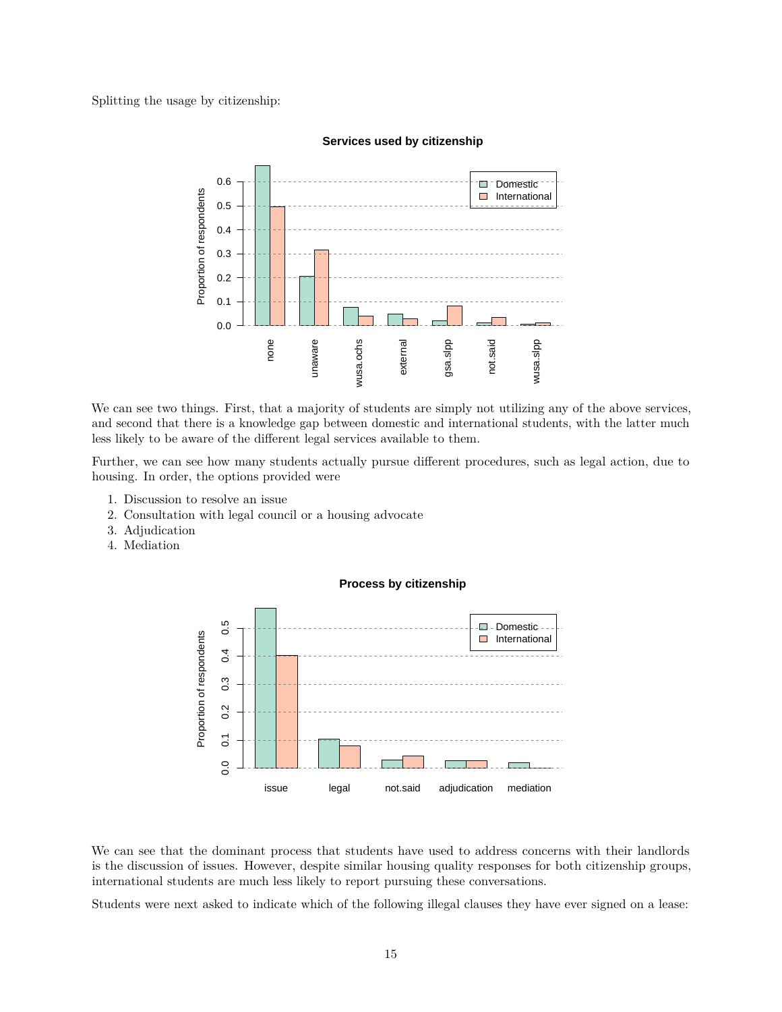Splitting the usage by citizenship:



#### **Services used by citizenship**

We can see two things. First, that a majority of students are simply not utilizing any of the above services, and second that there is a knowledge gap between domestic and international students, with the latter much less likely to be aware of the different legal services available to them.

Further, we can see how many students actually pursue different procedures, such as legal action, due to housing. In order, the options provided were

- 1. Discussion to resolve an issue
- 2. Consultation with legal council or a housing advocate
- 3. Adjudication
- 4. Mediation



#### **Process by citizenship**

We can see that the dominant process that students have used to address concerns with their landlords is the discussion of issues. However, despite similar housing quality responses for both citizenship groups, international students are much less likely to report pursuing these conversations.

Students were next asked to indicate which of the following illegal clauses they have ever signed on a lease: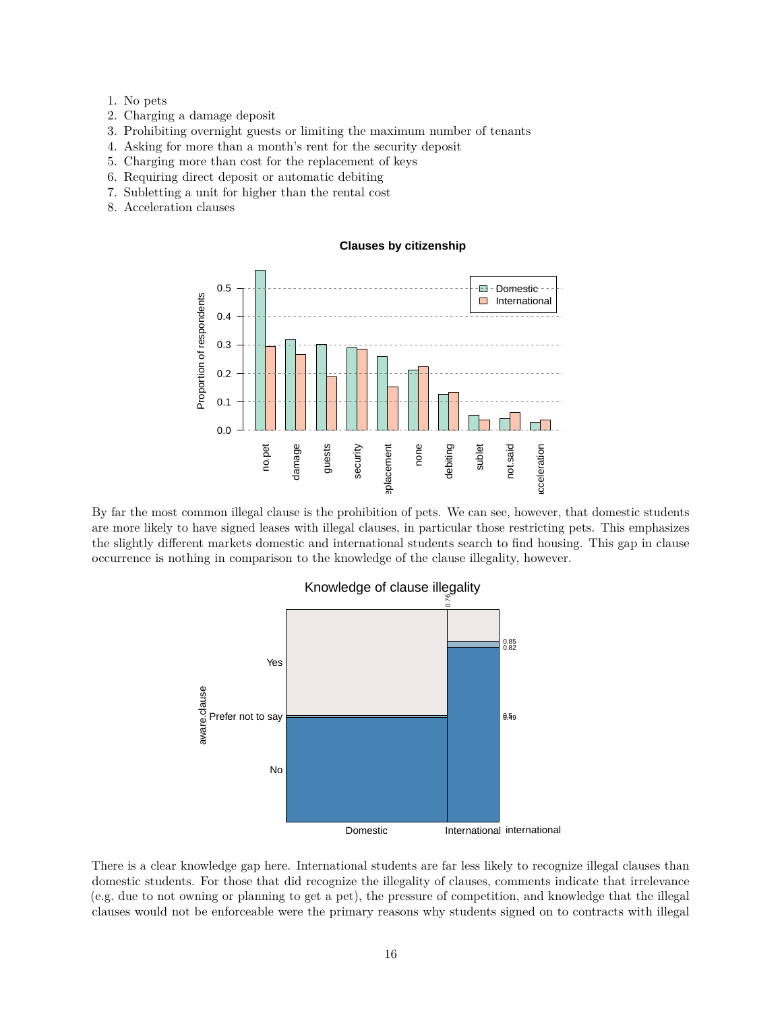- 1. No pets
- 2. Charging a damage deposit
- 3. Prohibiting overnight guests or limiting the maximum number of tenants
- 4. Asking for more than a month's rent for the security deposit
- 5. Charging more than cost for the replacement of keys
- 6. Requiring direct deposit or automatic debiting
- 7. Subletting a unit for higher than the rental cost
- 8. Acceleration clauses

#### **Clauses by citizenship**



By far the most common illegal clause is the prohibition of pets. We can see, however, that domestic students are more likely to have signed leases with illegal clauses, in particular those restricting pets. This emphasizes the slightly different markets domestic and international students search to find housing. This gap in clause occurrence is nothing in comparison to the knowledge of the clause illegality, however.



There is a clear knowledge gap here. International students are far less likely to recognize illegal clauses than domestic students. For those that did recognize the illegality of clauses, comments indicate that irrelevance (e.g. due to not owning or planning to get a pet), the pressure of competition, and knowledge that the illegal clauses would not be enforceable were the primary reasons why students signed on to contracts with illegal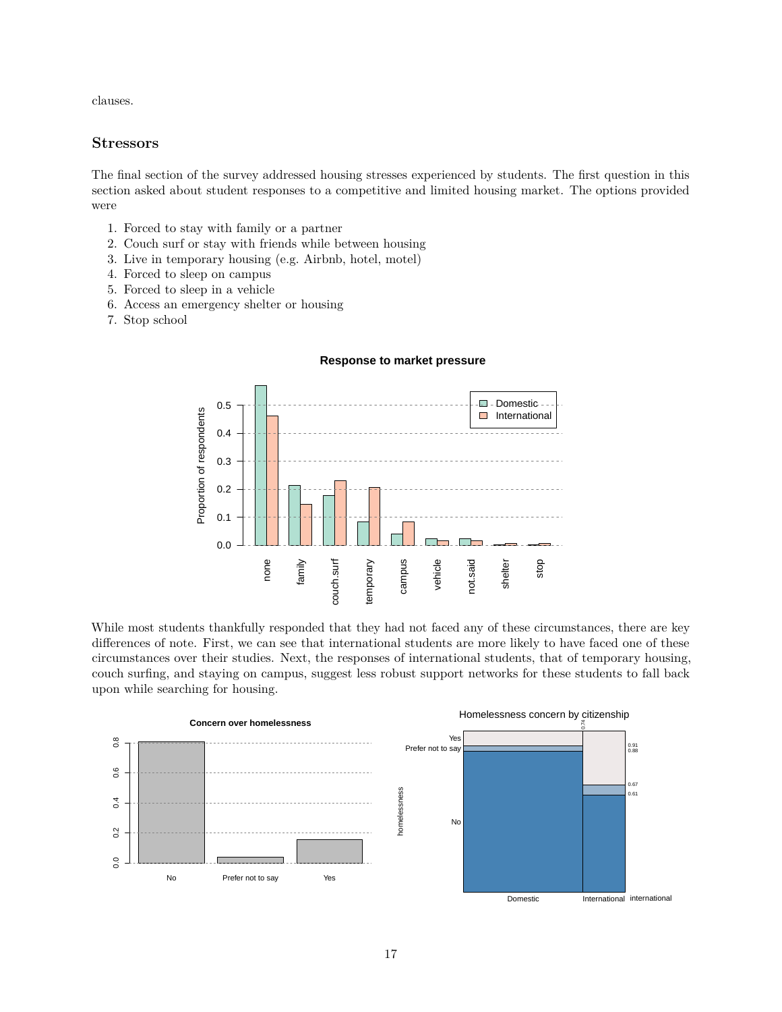clauses.

## **Stressors**

The final section of the survey addressed housing stresses experienced by students. The first question in this section asked about student responses to a competitive and limited housing market. The options provided were

- 1. Forced to stay with family or a partner
- 2. Couch surf or stay with friends while between housing
- 3. Live in temporary housing (e.g. Airbnb, hotel, motel)
- 4. Forced to sleep on campus
- 5. Forced to sleep in a vehicle
- 6. Access an emergency shelter or housing
- 7. Stop school





While most students thankfully responded that they had not faced any of these circumstances, there are key differences of note. First, we can see that international students are more likely to have faced one of these circumstances over their studies. Next, the responses of international students, that of temporary housing, couch surfing, and staying on campus, suggest less robust support networks for these students to fall back upon while searching for housing.

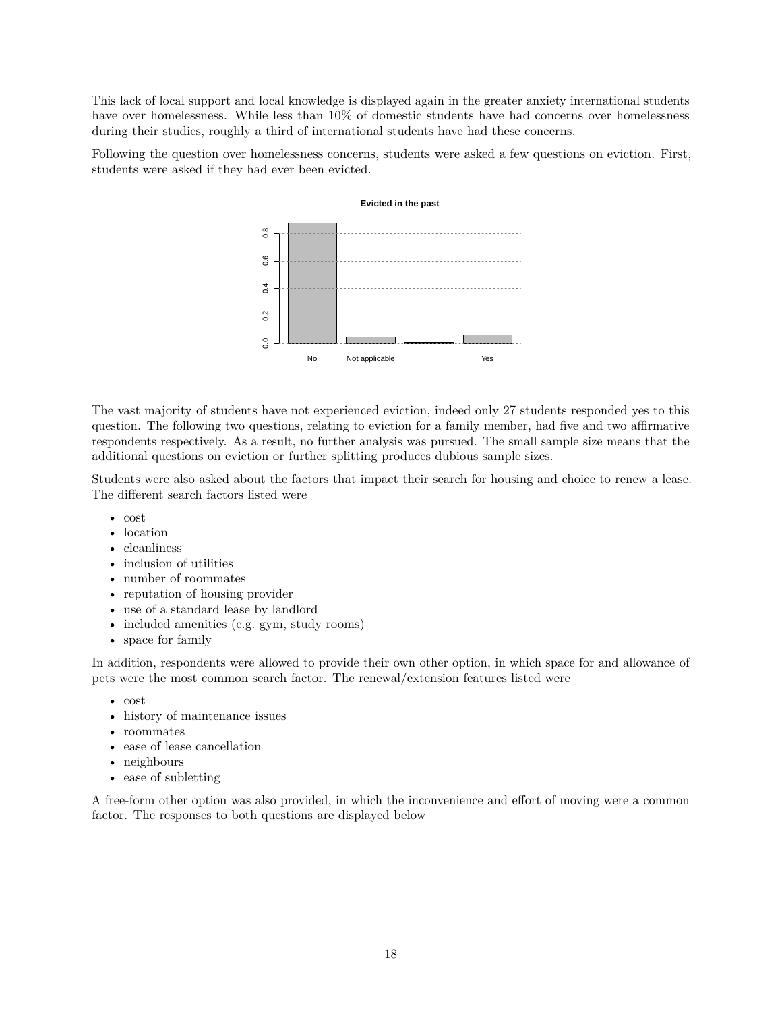This lack of local support and local knowledge is displayed again in the greater anxiety international students have over homelessness. While less than 10% of domestic students have had concerns over homelessness during their studies, roughly a third of international students have had these concerns.

Following the question over homelessness concerns, students were asked a few questions on eviction. First, students were asked if they had ever been evicted.



The vast majority of students have not experienced eviction, indeed only 27 students responded yes to this question. The following two questions, relating to eviction for a family member, had five and two affirmative respondents respectively. As a result, no further analysis was pursued. The small sample size means that the additional questions on eviction or further splitting produces dubious sample sizes.

Students were also asked about the factors that impact their search for housing and choice to renew a lease. The different search factors listed were

- cost
- location
- cleanliness
- inclusion of utilities
- number of roommates
- reputation of housing provider
- use of a standard lease by landlord
- included amenities (e.g. gym, study rooms)
- space for family

In addition, respondents were allowed to provide their own other option, in which space for and allowance of pets were the most common search factor. The renewal/extension features listed were

- cost
- history of maintenance issues
- roommates
- ease of lease cancellation
- neighbours
- ease of subletting

A free-form other option was also provided, in which the inconvenience and effort of moving were a common factor. The responses to both questions are displayed below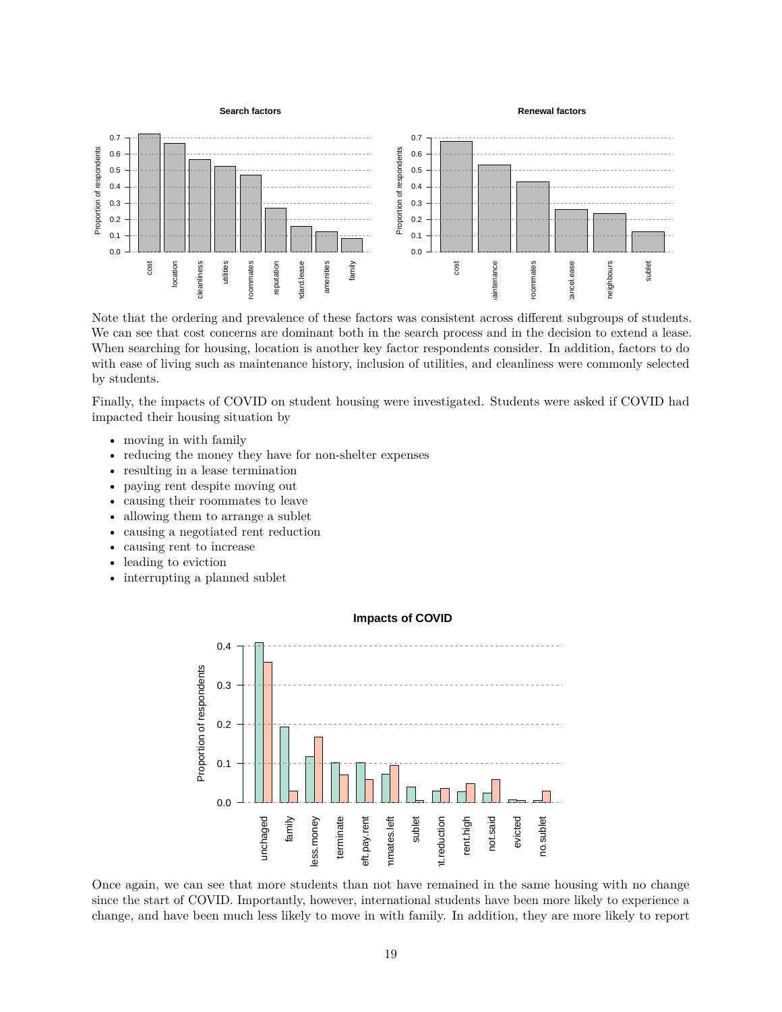

Note that the ordering and prevalence of these factors was consistent across different subgroups of students. We can see that cost concerns are dominant both in the search process and in the decision to extend a lease. When searching for housing, location is another key factor respondents consider. In addition, factors to do with ease of living such as maintenance history, inclusion of utilities, and cleanliness were commonly selected by students.

Finally, the impacts of COVID on student housing were investigated. Students were asked if COVID had impacted their housing situation by

- moving in with family
- reducing the money they have for non-shelter expenses
- resulting in a lease termination
- paying rent despite moving out
- causing their roommates to leave
- allowing them to arrange a sublet
- causing a negotiated rent reduction
- causing rent to increase
- leading to eviction
- interrupting a planned sublet



Once again, we can see that more students than not have remained in the same housing with no change since the start of COVID. Importantly, however, international students have been more likely to experience a change, and have been much less likely to move in with family. In addition, they are more likely to report

## 19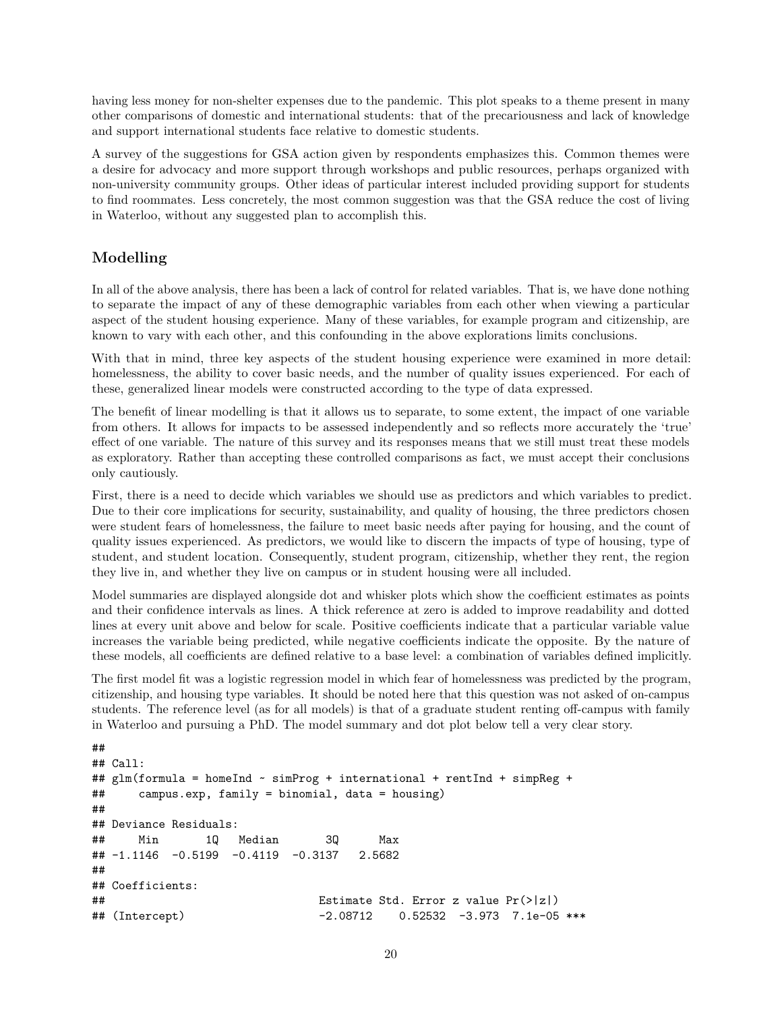having less money for non-shelter expenses due to the pandemic. This plot speaks to a theme present in many other comparisons of domestic and international students: that of the precariousness and lack of knowledge and support international students face relative to domestic students.

A survey of the suggestions for GSA action given by respondents emphasizes this. Common themes were a desire for advocacy and more support through workshops and public resources, perhaps organized with non-university community groups. Other ideas of particular interest included providing support for students to find roommates. Less concretely, the most common suggestion was that the GSA reduce the cost of living in Waterloo, without any suggested plan to accomplish this.

# **Modelling**

In all of the above analysis, there has been a lack of control for related variables. That is, we have done nothing to separate the impact of any of these demographic variables from each other when viewing a particular aspect of the student housing experience. Many of these variables, for example program and citizenship, are known to vary with each other, and this confounding in the above explorations limits conclusions.

With that in mind, three key aspects of the student housing experience were examined in more detail: homelessness, the ability to cover basic needs, and the number of quality issues experienced. For each of these, generalized linear models were constructed according to the type of data expressed.

The benefit of linear modelling is that it allows us to separate, to some extent, the impact of one variable from others. It allows for impacts to be assessed independently and so reflects more accurately the 'true' effect of one variable. The nature of this survey and its responses means that we still must treat these models as exploratory. Rather than accepting these controlled comparisons as fact, we must accept their conclusions only cautiously.

First, there is a need to decide which variables we should use as predictors and which variables to predict. Due to their core implications for security, sustainability, and quality of housing, the three predictors chosen were student fears of homelessness, the failure to meet basic needs after paying for housing, and the count of quality issues experienced. As predictors, we would like to discern the impacts of type of housing, type of student, and student location. Consequently, student program, citizenship, whether they rent, the region they live in, and whether they live on campus or in student housing were all included.

Model summaries are displayed alongside dot and whisker plots which show the coefficient estimates as points and their confidence intervals as lines. A thick reference at zero is added to improve readability and dotted lines at every unit above and below for scale. Positive coefficients indicate that a particular variable value increases the variable being predicted, while negative coefficients indicate the opposite. By the nature of these models, all coefficients are defined relative to a base level: a combination of variables defined implicitly.

The first model fit was a logistic regression model in which fear of homelessness was predicted by the program, citizenship, and housing type variables. It should be noted here that this question was not asked of on-campus students. The reference level (as for all models) is that of a graduate student renting off-campus with family in Waterloo and pursuing a PhD. The model summary and dot plot below tell a very clear story.

```
##
## Call:
## glm(formula = homeInd ~ simProg + international + rentInd + simpReg +
## campus.exp, family = binomial, data = housing)
##
## Deviance Residuals:
## Min 1Q Median 3Q Max
## -1.1146 -0.5199 -0.4119 -0.3137 2.5682
##
## Coefficients:
## Estimate Std. Error z value Pr(>|z|)
## (Intercept) -2.08712 0.52532 -3.973 7.1e-05 ***
```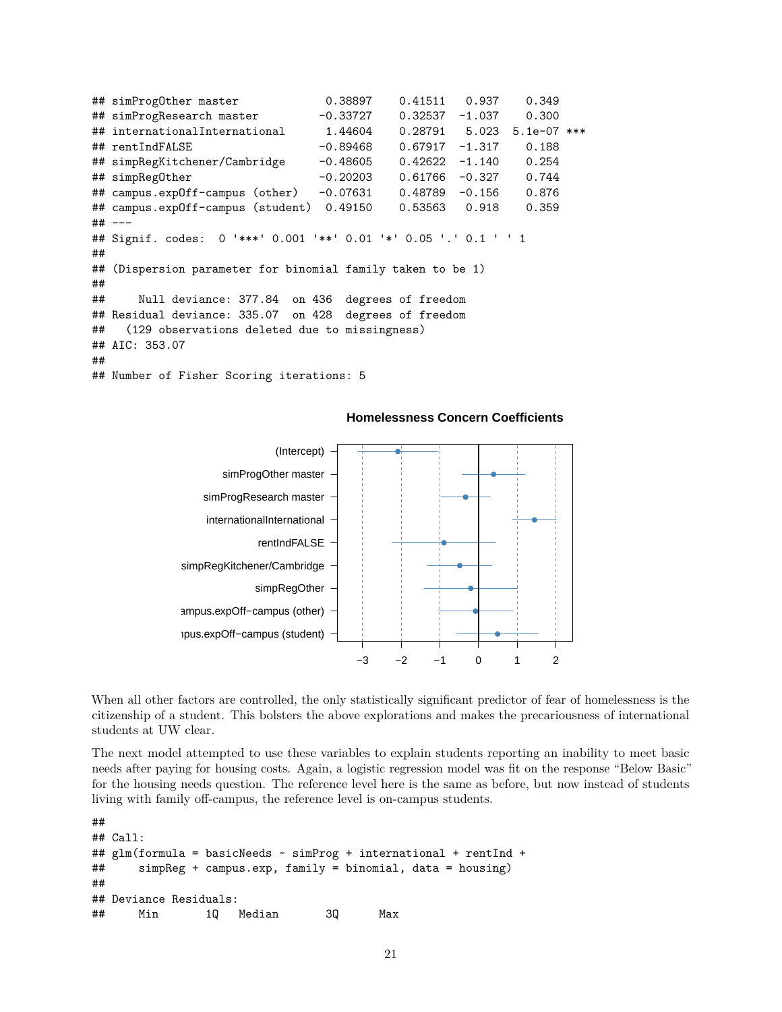## simProgOther master 0.38897 0.41511 0.937 0.349 ## simProgResearch master -0.33727 0.32537 -1.037 0.300 ## internationalInternational 1.44604 0.28791 5.023 5.1e-07 \*\*\* ## rentIndFALSE -0.89468 0.67917 -1.317 0.188 ## simpRegKitchener/Cambridge -0.48605 0.42622 -1.140 0.254 ## simpRegOther -0.20203 0.61766 -0.327 0.744 ## campus.expOff-campus (other) -0.07631 0.48789 -0.156 0.876 ## campus.expOff-campus (student) 0.49150 0.53563 0.918 0.359 ## --- ## Signif. codes: 0 '\*\*\*' 0.001 '\*\*' 0.01 '\*' 0.05 '.' 0.1 ' ' 1 ## ## (Dispersion parameter for binomial family taken to be 1) ## ## Null deviance: 377.84 on 436 degrees of freedom ## Residual deviance: 335.07 on 428 degrees of freedom ## (129 observations deleted due to missingness) ## AIC: 353.07 ## ## Number of Fisher Scoring iterations: 5



#### **Homelessness Concern Coefficients**

When all other factors are controlled, the only statistically significant predictor of fear of homelessness is the citizenship of a student. This bolsters the above explorations and makes the precariousness of international students at UW clear.

The next model attempted to use these variables to explain students reporting an inability to meet basic needs after paying for housing costs. Again, a logistic regression model was fit on the response "Below Basic" for the housing needs question. The reference level here is the same as before, but now instead of students living with family off-campus, the reference level is on-campus students.

```
##
## Call:
## glm(formula = basicNeeds ~ simProg + international + rentInd +
## simpReg + campus.exp, family = binomial, data = housing)
##
## Deviance Residuals:
## Min 1Q Median 3Q Max
```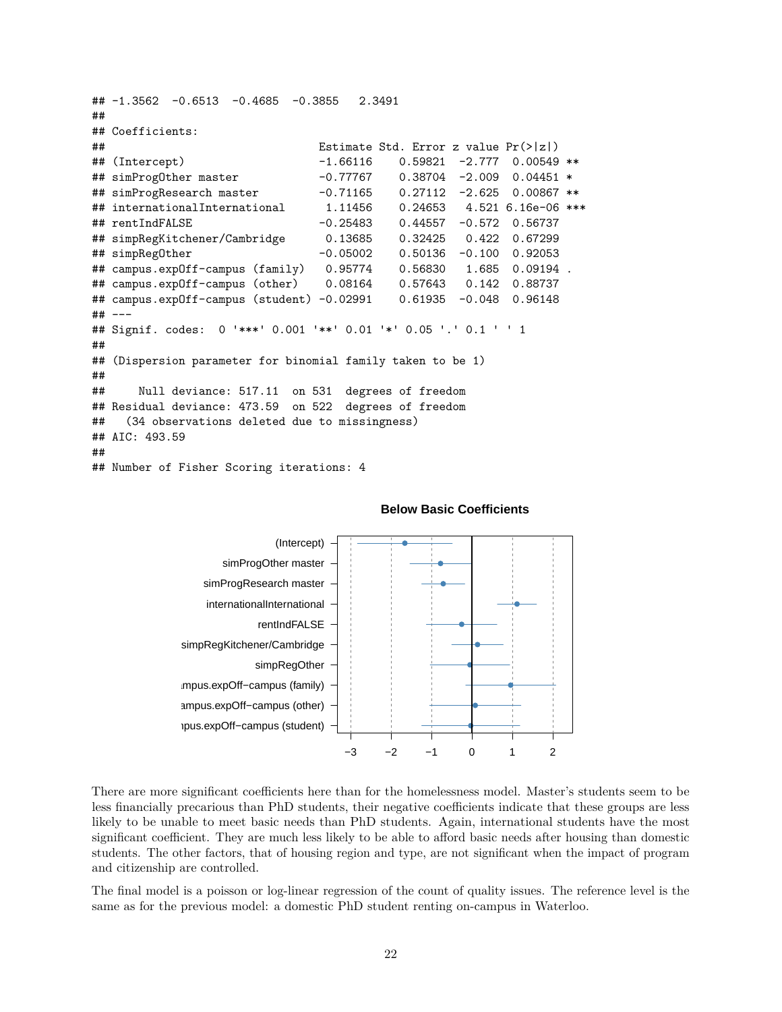```
## -1.3562 -0.6513 -0.4685 -0.3855 2.3491
##
## Coefficients:
## Estimate Std. Error z value Pr(>|z|)
## (Intercept) -1.66116 0.59821 -2.777 0.00549 **
## simProgOther master -0.77767 0.38704 -2.009 0.04451 *
## simProgResearch master -0.71165 0.27112 -2.625 0.00867 **
## internationalInternational 1.11456 0.24653 4.521 6.16e-06 ***
## rentIndFALSE -0.25483 0.44557 -0.572 0.56737
## simpRegKitchener/Cambridge 0.13685 0.32425 0.422 0.67299
## simpRegOther -0.05002 0.50136 -0.100 0.92053
## campus.expOff-campus (family) 0.95774 0.56830 1.685 0.09194 .
## campus.expOff-campus (other) 0.08164 0.57643 0.142 0.88737
## campus.expOff-campus (student) -0.02991 0.61935 -0.048 0.96148
## ---## Signif. codes: 0 '***' 0.001 '**' 0.01 '*' 0.05 '.' 0.1 ' ' 1
##
## (Dispersion parameter for binomial family taken to be 1)
##
## Null deviance: 517.11 on 531 degrees of freedom
## Residual deviance: 473.59 on 522 degrees of freedom
## (34 observations deleted due to missingness)
## AIC: 493.59
##
## Number of Fisher Scoring iterations: 4
```


**Below Basic Coefficients**

There are more significant coefficients here than for the homelessness model. Master's students seem to be less financially precarious than PhD students, their negative coefficients indicate that these groups are less likely to be unable to meet basic needs than PhD students. Again, international students have the most significant coefficient. They are much less likely to be able to afford basic needs after housing than domestic students. The other factors, that of housing region and type, are not significant when the impact of program and citizenship are controlled.

The final model is a poisson or log-linear regression of the count of quality issues. The reference level is the same as for the previous model: a domestic PhD student renting on-campus in Waterloo.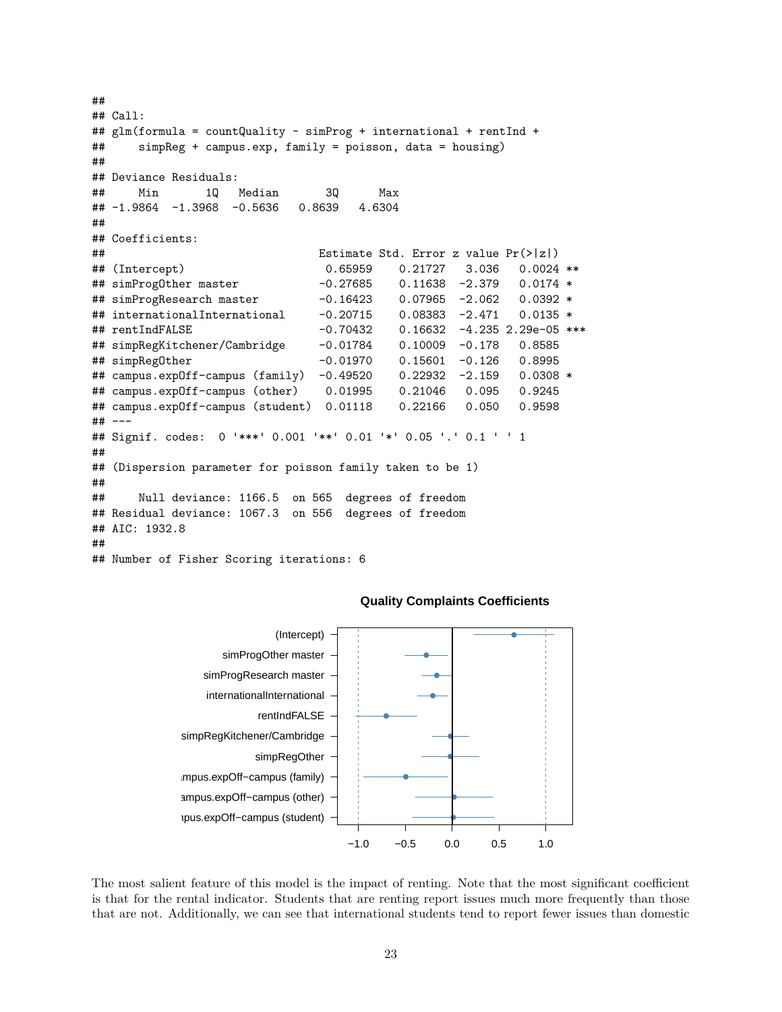```
##
## Call:
## glm(formula = countQuality ~ simProg + international + rentInd +## simpReg + campus.exp, family = poisson, data = housing)
##
## Deviance Residuals:
## Min 1Q Median 3Q Max
## -1.9864 -1.3968 -0.5636 0.8639 4.6304
##
## Coefficients:
## Estimate Std. Error z value Pr(>|z|)
## (Intercept) 0.65959 0.21727 3.036 0.0024 **
## simProgOther master -0.27685 0.11638 -2.379 0.0174 *
## simProgResearch master -0.16423 0.07965 -2.062 0.0392 *
## internationalInternational -0.20715 0.08383 -2.471 0.0135 *
## rentIndFALSE -0.70432 0.16632 -4.235 2.29e-05 ***
## simpRegKitchener/Cambridge -0.01784 0.10009 -0.178 0.8585
## simpRegOther -0.01970 0.15601 -0.126 0.8995
## campus.expOff-campus (family) -0.49520 0.22932 -2.159 0.0308 *
## campus.expOff-campus (other) 0.01995 0.21046 0.095 0.9245
## campus.expOff-campus (student) 0.01118 0.22166 0.050 0.9598
## ---
## Signif. codes: 0 '***' 0.001 '**' 0.01 '*' 0.05 '.' 0.1 ' ' 1
##
## (Dispersion parameter for poisson family taken to be 1)
##
## Null deviance: 1166.5 on 565 degrees of freedom
## Residual deviance: 1067.3 on 556 degrees of freedom
## AIC: 1932.8
##
## Number of Fisher Scoring iterations: 6
```


#### **Quality Complaints Coefficients**

The most salient feature of this model is the impact of renting. Note that the most significant coefficient is that for the rental indicator. Students that are renting report issues much more frequently than those that are not. Additionally, we can see that international students tend to report fewer issues than domestic